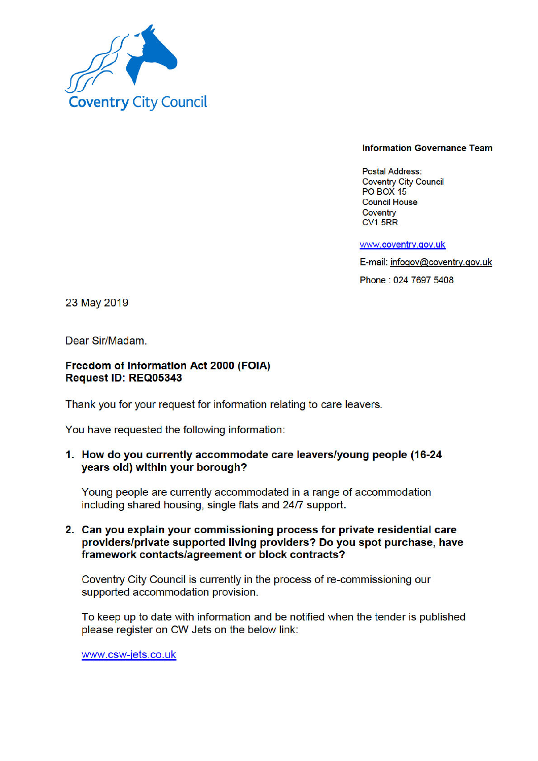

#### **Information Governance Team**

**Postal Address: Coventry City Council PO BOX 15 Council House** Coventry CV1 5RR

www.coventry.gov.uk

E-mail: infogov@coventry.gov.uk

Phone: 024 7697 5408

23 May 2019

Dear Sir/Madam.

#### Freedom of Information Act 2000 (FOIA) Request ID: REQ05343

Thank you for your request for information relating to care leavers.

You have requested the following information:

# 1. How do you currently accommodate care leavers/young people (16-24 years old) within your borough?

Young people are currently accommodated in a range of accommodation including shared housing, single flats and 24/7 support.

## 2. Can you explain your commissioning process for private residential care providers/private supported living providers? Do you spot purchase, have framework contacts/agreement or block contracts?

Coventry City Council is currently in the process of re-commissioning our supported accommodation provision.

To keep up to date with information and be notified when the tender is published please register on CW Jets on the below link:

www.csw-jets.co.uk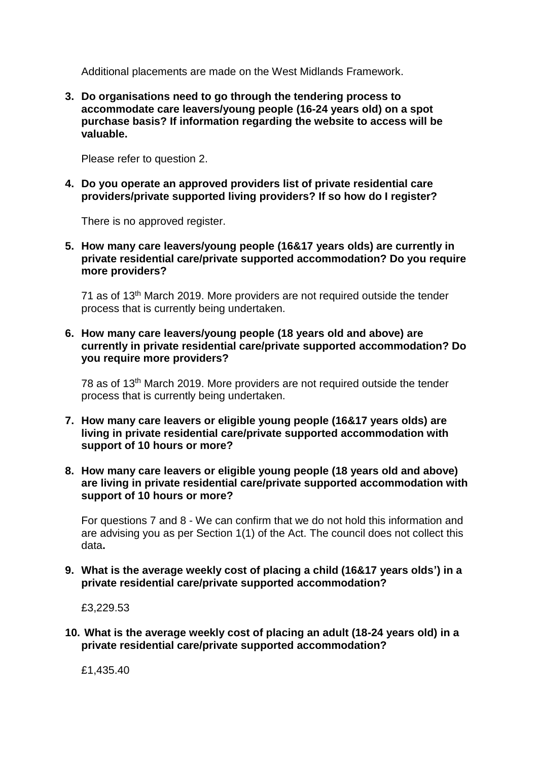Additional placements are made on the West Midlands Framework.

**3. Do organisations need to go through the tendering process to accommodate care leavers/young people (16-24 years old) on a spot purchase basis? If information regarding the website to access will be valuable.**

Please refer to question 2.

**4. Do you operate an approved providers list of private residential care providers/private supported living providers? If so how do I register?**

There is no approved register.

**5. How many care leavers/young people (16&17 years olds) are currently in private residential care/private supported accommodation? Do you require more providers?**

71 as of 13<sup>th</sup> March 2019. More providers are not required outside the tender process that is currently being undertaken.

**6. How many care leavers/young people (18 years old and above) are currently in private residential care/private supported accommodation? Do you require more providers?**

78 as of 13th March 2019. More providers are not required outside the tender process that is currently being undertaken.

- **7. How many care leavers or eligible young people (16&17 years olds) are living in private residential care/private supported accommodation with support of 10 hours or more?**
- **8. How many care leavers or eligible young people (18 years old and above) are living in private residential care/private supported accommodation with support of 10 hours or more?**

For questions 7 and 8 - We can confirm that we do not hold this information and are advising you as per Section 1(1) of the Act. The council does not collect this data**.**

**9. What is the average weekly cost of placing a child (16&17 years olds') in a private residential care/private supported accommodation?**

£3,229.53

**10. What is the average weekly cost of placing an adult (18-24 years old) in a private residential care/private supported accommodation?**

£1,435.40